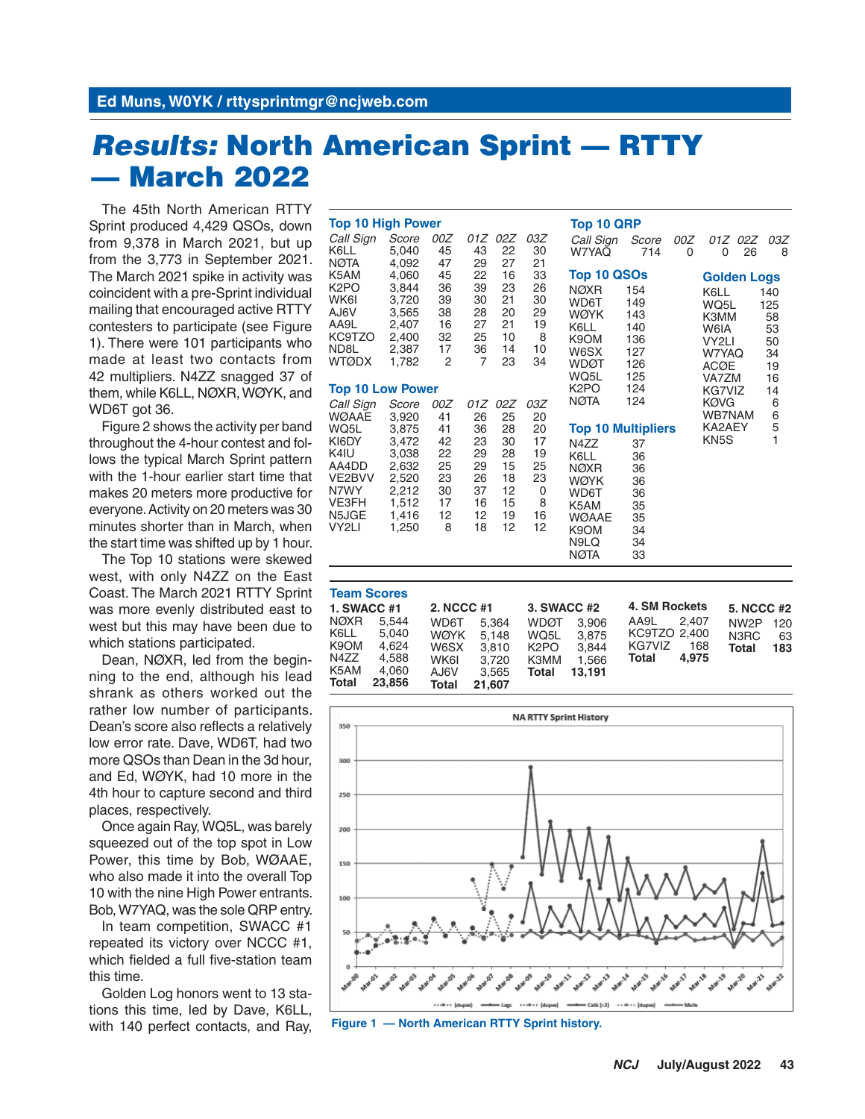## *Results:* **North American Sprint — RTTY — March 2022**

The 45th North American RTTY Sprint produced 4,429 QSOs, down from 9,378 in March 2021, but up from the 3,773 in September 2021. The March 2021 spike in activity was coincident with a pre-Sprint individual mailing that encouraged active RTTY contesters to participate (see Figure 1). There were 101 participants who made at least two contacts from 42 multipliers. N4ZZ snagged 37 of them, while K6LL, NØXR, WØYK, and WD6T got 36.

Figure 2 shows the activity per band throughout the 4-hour contest and follows the typical March Sprint pattern with the 1-hour earlier start time that makes 20 meters more productive for everyone. Activity on 20 meters was 30 minutes shorter than in March, when the start time was shifted up by 1 hour.

The Top 10 stations were skewed west, with only N4ZZ on the East Coast. The March 2021 RTTY Sprint was more evenly distributed east to west but this may have been due to which stations participated.

Dean, NØXR, led from the beginning to the end, although his lead shrank as others worked out the rather low number of participants. Dean's score also reflects a relatively low error rate. Dave, WD6T, had two more QSOs than Dean in the 3d hour, and Ed, WØYK, had 10 more in the 4th hour to capture second and third places, respectively.

Once again Ray, WQ5L, was barely squeezed out of the top spot in Low Power, this time by Bob, WØAAE, who also made it into the overall Top 10 with the nine High Power entrants. Bob, W7YAQ, was the sole QRP entry.

In team competition, SWACC #1 repeated its victory over NCCC #1, which fielded a full five-station team this time.

Golden Log honors went to 13 stations this time, led by Dave, K6LL, with 140 perfect contacts, and Ray,

| <b>Top 10 High Power</b> |                |         |                      |          |          | <b>Top 10 QRP</b>         |                                    |     |                    |         |          |  |
|--------------------------|----------------|---------|----------------------|----------|----------|---------------------------|------------------------------------|-----|--------------------|---------|----------|--|
| Call Sign                | Score          | 00Z     |                      | 01Z 02Z  | 03Z      | Call Sign                 | Score                              | 00Z |                    | 01Z 02Z | 03Z      |  |
| K6LL                     | 5,040          | 45      | 43                   | 22       | 30       | W7YAQ                     | 714                                | 0   | 0                  | 26      | 8        |  |
| <b>NØTA</b>              | 4,092          | 47      | 29                   | 27       | 21       |                           |                                    |     |                    |         |          |  |
| K5AM                     | 4,060          | 45      | 22                   | 16       | 33       | Top 10 QSOs               |                                    |     | <b>Golden Logs</b> |         |          |  |
| K <sub>2</sub> PO        | 3,844          | 36      | 39                   | 23       | 26       | <b>NØXR</b>               | 154                                |     | K6LL               |         | 140      |  |
| WK6I                     | 3,720          | 39      | 30                   | 21       | 30       | WD6T                      | 149                                |     | WQ5L               |         | 125      |  |
| AJ6V                     | 3,565          | 38      | 28                   | 20       | 29       | <b>WØYK</b>               | 143                                |     | K3MM               |         | 58       |  |
| AA9L                     | 2,407          | 16      | 27                   | 21       | 19       | K6LL                      | 140                                |     | W6IA               |         | 53       |  |
| KC9TZO                   | 2,400          | 32      | 25                   | 10<br>14 | 8        | K9OM                      | 136                                |     | VY2LI              |         | 50       |  |
| ND8L<br><b>WTØDX</b>     | 2,387<br>1,782 | 17<br>2 | 36<br>$\overline{7}$ | 23       | 10<br>34 | W6SX                      | 127                                |     | W7YAQ              |         | 34       |  |
|                          |                |         |                      |          |          | <b>WDØT</b>               | 126                                |     | <b>ACØE</b>        |         | 19       |  |
|                          |                |         |                      |          |          | WQ5L                      | 125                                |     | VA7ZM              |         | 16<br>14 |  |
| <b>Top 10 Low Power</b>  |                |         |                      |          |          |                           | K <sub>2</sub> PO<br>124<br>KG7VIZ |     |                    |         |          |  |
| Call Sign                | Score          | 00Z     | 01Z                  | 02Z      | 03Z      | NØTA                      | 124                                |     | <b>KØVG</b>        |         | 6        |  |
| <b>WØAAE</b>             | 3,920          | 41      | 26                   | 25       | 20       |                           |                                    |     | WB7NAM             |         | 6        |  |
| WQ5L                     | 3,875          | 41      | 36                   | 28       | 20       | <b>Top 10 Multipliers</b> |                                    |     | KA2AEY             |         | 5        |  |
| KI6DY                    | 3,472          | 42      | 23                   | 30       | 17       | N4ZZ                      | 37                                 |     | KN <sub>5</sub> S  |         | 1        |  |
| K4IU                     | 3,038          | 22      | 29                   | 28       | 19       | K6LL                      | 36                                 |     |                    |         |          |  |
| AA4DD                    | 2,632          | 25      | 29                   | 15       | 25       | <b>NØXR</b>               | 36                                 |     |                    |         |          |  |
| VE2BVV                   | 2,520          | 23      | 26                   | 18       | 23       | <b>WØYK</b>               | 36                                 |     |                    |         |          |  |
| N7WY                     | 2,212          | 30      | 37                   | 12       | 0        | WD6T                      | 36                                 |     |                    |         |          |  |
| <b>VE3FH</b>             | 1,512          | 17      | 16                   | 15       | 8        | K5AM                      | 35                                 |     |                    |         |          |  |
| N5JGE                    | 1,416          | 12      | 12                   | 19       | 16       | <b>WØAAE</b>              | 35                                 |     |                    |         |          |  |
| VY2LI                    | 1,250          | 8       | 18                   | 12       | 12       | K9OM                      | 34                                 |     |                    |         |          |  |
|                          |                |         |                      |          |          | N9LQ                      | 34                                 |     |                    |         |          |  |
|                          |                |         |                      |          |          | <b>NØTA</b>               | 33                                 |     |                    |         |          |  |

|                    | <b>Team Scores</b> |             |        |                   |        |               |       |                   |     |  |
|--------------------|--------------------|-------------|--------|-------------------|--------|---------------|-------|-------------------|-----|--|
| <b>1. SWACC #1</b> |                    | 2. NCCC #1  |        | 3. SWACC #2       |        | 4. SM Rockets |       | <b>5. NCCC #2</b> |     |  |
| NØXR               | 5.544              | WD6T        | 5.364  | WDØT              | 3.906  | AA9L          | 2.407 | NW <sub>2</sub> P | 120 |  |
| K6LL               | 5.040              | <b>WØYK</b> | 5.148  | WQ5L              | 3.875  | KC9TZO 2.400  |       | N3RC              | 63  |  |
| K9OM               | 4.624              | W6SX        | 3.810  | K <sub>2</sub> PO | 3.844  | KG7VIZ        | 168   | Total             | 183 |  |
| N4ZZ               | 4.588              | WK6I        | 3.720  | K3MM              | 1.566  | Total         | 4.975 |                   |     |  |
| K5AM               | 4,060              | AJ6V        | 3.565  | Total             | 13.191 |               |       |                   |     |  |
| Total              | 23.856             | Total       | 21.607 |                   |        |               |       |                   |     |  |



**Figure 1 — North American RTTY Sprint history.**